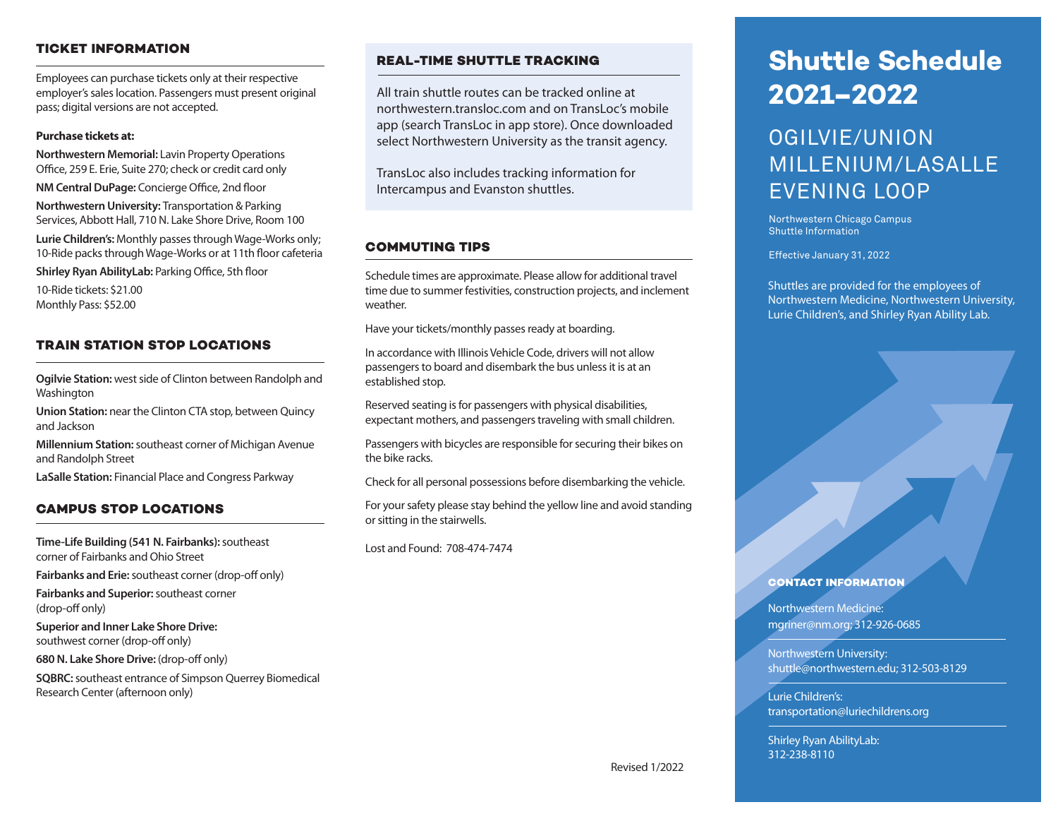## **TICKET INFORMATION**

Employees can purchase tickets only at their respective employer's sales location. Passengers must present original pass; digital versions are not accepted.

## **Purchase tickets at:**

**Northwestern Memorial:** Lavin Property Operations Office, 259 E. Erie, Suite 270; check or credit card only **NM Central DuPage:** Concierge Office, 2nd floor

**Northwestern University:** Transportation & Parking Services, Abbott Hall, 710 N. Lake Shore Drive, Room 100

**Lurie Children's:** Monthly passes through Wage-Works only; 10-Ride packs through Wage-Works or at 11th floor cafeteria

**Shirley Ryan AbilityLab:** Parking Office, 5th floor

10-Ride tickets: \$21.00 Monthly Pass: \$52.00

## **TRAIN STATION STOP LOCATIONS**

**Ogilvie Station:** west side of Clinton between Randolph and Washington

**Union Station:** near the Clinton CTA stop, between Quincy and Jackson

**Millennium Station:** southeast corner of Michigan Avenue and Randolph Street

**LaSalle Station:** Financial Place and Congress Parkway

## **CAMPUS STOP LOCATIONS**

**Time-Life Building (541 N. Fairbanks):** southeast corner of Fairbanks and Ohio Street

**Fairbanks and Erie:** southeast corner (drop-off only)

**Fairbanks and Superior:** southeast corner (drop-off only)

**Superior and Inner Lake Shore Drive:**  southwest corner (drop-off only)

**680 N. Lake Shore Drive:** (drop-off only)

**SQBRC:** southeast entrance of Simpson Querrey Biomedical Research Center (afternoon only)

## **REAL-TIME SHUTTLE TRACKING**

All train shuttle routes can be tracked online at northwestern.transloc.com and on TransLoc's mobile app (search TransLoc in app store). Once downloaded select Northwestern University as the transit agency.

TransLoc also includes tracking information for Intercampus and Evanston shuttles.

## **COMMUTING TIPS**

Schedule times are approximate. Please allow for additional travel time due to summer festivities, construction projects, and inclement weather.

Have your tickets/monthly passes ready at boarding.

In accordance with Illinois Vehicle Code, drivers will not allow passengers to board and disembark the bus unless it is at an established stop.

Reserved seating is for passengers with physical disabilities, expectant mothers, and passengers traveling with small children.

Passengers with bicycles are responsible for securing their bikes on the bike racks.

Check for all personal possessions before disembarking the vehicle.

For your safety please stay behind the yellow line and avoid standing or sitting in the stairwells.

Lost and Found: 708-474-7474

# **Shuttle Schedule 2021–2022**

## OGILVIE/UNION MILLENIUM/LASALLE EVENING LOOP

Northwestern Chicago Campus Shuttle Information

Effective January 31, 2022

Shuttles are provided for the employees of Northwestern Medicine, Northwestern University, Lurie Children's, and Shirley Ryan Ability Lab.

### **CONTACT INFORMATION**

Northwestern Medicine: mgriner@nm.org; 312-926-0685

Northwestern University: shuttle@northwestern.edu; 312-503-8129

Lurie Children's: transportation@luriechildrens.org

Shirley Ryan AbilityLab: 312-238-8110